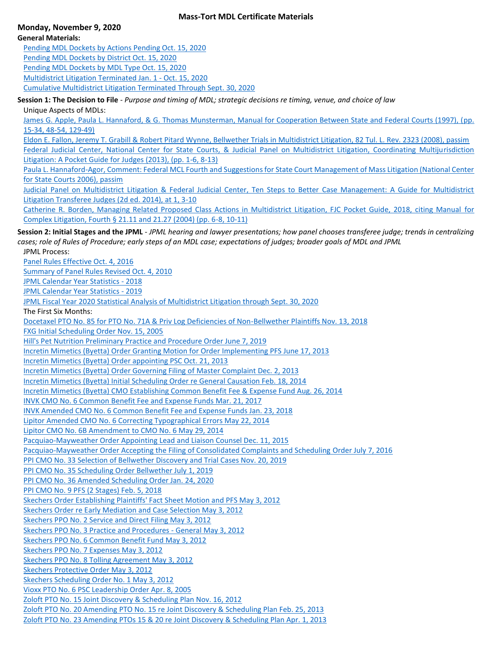### **Mass-Tort MDL Certificate Materials**

# **Monday, November 9, 2020**

## **General Materials:**  [Pending MDL Dockets by Actions Pending Oct. 15, 2020](https://duke.box.com/s/7euoao4y2kd4l78te349881kbexwnidu) [Pending MDL Dockets by District Oct. 15, 2020](https://duke.box.com/s/hb7u8l4qwgr5mzk0bprscffz2bz65hqo) [Pending MDL Dockets by MDL Type Oct. 15, 2020](https://duke.box.com/s/em6jnt2iv40usf97mbxj47piajusuztp) [Multidistrict Litigation Terminated Jan. 1 -](https://duke.box.com/s/bfri8dbezgwbryzpiuti8ryvwkcpabl1) Oct. 15, 2020 [Cumulative Multidistrict Litigation Terminated Through Sept. 30, 2020](https://duke.box.com/s/9ncccemiucmvvtvf7vc3ukue9mco3ev3)

**Session 1: The Decision to File** - *Purpose and timing of MDL; strategic decisions re timing, venue, and choice of law*

Unique Aspects of MDLs:

[James G. Apple, Paula L. Hannaford, & G. Thomas Munsterman, Manual for Cooperation Between State and Federal Courts \(1997\), \(pp.](https://duke.box.com/s/jec7ykqdeapxe984g8ws3vwzhgu7n35v)  [15-34, 48-54, 129-49\)](https://duke.box.com/s/jec7ykqdeapxe984g8ws3vwzhgu7n35v)

[Eldon E. Fallon, Jeremy T. Grabill & Robert Pitard Wynne, Bellwether Trials in Multidistrict Litigation, 82 Tul. L. Rev. 2323 \(2008\), passim](https://duke.box.com/s/pagnbefd2ik54hapd6z03274ql229wup)

[Federal Judicial Center, National Center for State Courts, & Judicial Panel on Multidistrict Litigation, Coordinating Multijurisdiction](https://duke.box.com/s/tkzfnpu9hunm121tucdu80usbhox9mnc)  [Litigation: A Pocket Guide for Judges \(2013\), \(pp. 1-6, 8-13\)](https://duke.box.com/s/tkzfnpu9hunm121tucdu80usbhox9mnc)

[Paula L. Hannaford-Agor, Comment: Federal MCL Fourth and Suggestions for State Court Management of Mass Litigation \(National Center](https://duke.box.com/s/x67y1tbl2qt1tbwqj04rm2s7lly5y0ol)  [for State Courts 2006\), passim](https://duke.box.com/s/x67y1tbl2qt1tbwqj04rm2s7lly5y0ol)

[Judicial Panel on Multidistrict Litigation & Federal Judicial Center, Ten Steps to Better Case Management: A Guide for Multidistrict](https://duke.box.com/s/e52e1cvfno7ri7c68ps5yle9ncubtytz) [Litigation Transferee Judges \(2d ed. 2014\), at 1, 3-10](https://duke.box.com/s/e52e1cvfno7ri7c68ps5yle9ncubtytz)

[Catherine R. Borden, Managing Related Proposed Class Actions in Multidistrict Litigation, FJC Pocket Guide, 2018, citing Manual for](https://duke.box.com/s/oxlpce06869xcei66guireyy0qchp83w)  [Complex Litigation, Fourth § 21.11 and 21.27 \(2004\) \(pp. 6-8, 10-11\)](https://duke.box.com/s/oxlpce06869xcei66guireyy0qchp83w)

**Session 2: Initial Stages and the JPML** - *JPML hearing and lawyer presentations; how panel chooses transferee judge; trends in centralizing cases; role of Rules of Procedure; early steps of an MDL case; expectations of judges; broader goals of MDL and JPML* JPML Process:

[Panel Rules Effective Oct. 4, 2016](https://duke.box.com/s/pgzvh1ff380g9me5zbq29bgzxker4aur) [Summary of Panel Rules Revised Oct. 4, 2010](https://duke.box.com/s/63tlhzg8ici9l3b14qesmvxj67lpvbex) [JPML Calendar Year Statistics -](https://duke.box.com/s/xnr2cimlp5ymiuglmgszumtnxjwzfcjg) 2018 [JPML Calendar Year Statistics -](https://duke.box.com/s/9igcnl9mqzcyxpxjs2mmsoqijnt6rel4) 2019 [JPML Fiscal Year 2020 Statistical Analysis of Multidistrict Litigation through Sept. 30, 2020](https://duke.box.com/s/ozhnl000gx31v9h7bbr9tczbsi2olpyw) The First Six Months: [Docetaxel PTO No. 85 for PTO No. 71A & Priv Log Deficiencies of Non-Bellwether Plaintiffs Nov. 13, 2018](https://duke.box.com/s/ay35yy8zs0x7x80gw88r71n4dfnwgjg6) [FXG Initial Scheduling Order Nov. 15, 2005](https://duke.box.com/s/2h8r68tyctktojt9blfygn0243okm7kw) [Hill's Pet Nutrition Preliminary Practice and Procedure Order June 7, 2019](https://duke.box.com/s/ssil38lde4q1dun5czchzkchx20sz890) [Incretin Mimetics \(Byetta\) Order Granting Motion for Order Implementing PFS June 17, 2013](https://duke.box.com/s/mnvjqpnfwltvjc01qkvwd6g4010bvxoa) [Incretin Mimetics \(Byetta\) Order appointing PSC Oct. 21, 2013](https://duke.box.com/s/rtxb1d0zezqjbzizrmqll5rehh3u0rvs) [Incretin Mimetics \(Byetta\) Order Governing Filing of](https://duke.box.com/s/jimyeycrzvknclbf2kz42waacvsljol6) Master Complaint Dec. 2, 2013 [Incretin Mimetics \(Byetta\) Initial Scheduling Order re General Causation Feb. 18, 2014](https://duke.box.com/s/5qtd35ihdu06zhlskfnp7pb2kd9nficp) [Incretin Mimetics \(Byetta\) CMO Establishing Common Benefit Fee & Expense Fund Aug. 26, 2014](https://duke.box.com/s/j58wz03kb9b6q1akjc3qkltx1opotrw5) [INVK CMO No. 6 Common Benefit Fee and Expense Funds Mar. 21, 2017](https://duke.box.com/s/hzwz3a7xkj5v75ydl2q0tq92my072zk1) [INVK Amended CMO No. 6 Common Benefit Fee and Expense Funds Jan. 23, 2018](https://duke.box.com/s/szug8rh8d2jnvh052w79myqqkyzmg8js) [Lipitor Amended CMO No. 6 Correcting Typographical Errors May 22, 2014](https://duke.box.com/s/lu9s5eafykiz4lwj8ei0t53db8og0hs5) [Lipitor CMO No. 6B Amendment to CMO No. 6 May 29, 2014](https://duke.box.com/s/j2nvzg2ksdrnt2kjjdxp0ms7cnpv1sae) [Pacquiao-Mayweather Order Appointing Lead and Liaison Counsel Dec. 11, 2015](https://duke.box.com/s/1a8a70x9b14cs4jv4bw6ssl7jjlaxcj9) [Pacquiao-Mayweather Order Accepting the Filing of Consolidated Complaints and Scheduling](https://duke.box.com/s/7ufdaxi9rrwj274ugajpjsuwq1ljyd24) Order July 7, 2016 [PPI CMO No. 33 Selection of Bellwether Discovery and Trial Cases Nov. 20, 2019](https://duke.box.com/s/tz7m7dq0xhddmuxfe653lfcu8j0dj4ev) [PPI CMO No. 35 Scheduling Order Bellwether July 1, 2019](https://duke.box.com/s/cgqxsli9dl80yrhecdur3xhx9z8zz7l2) [PPI CMO No. 36 Amended Scheduling Order Jan. 24, 2020](https://duke.box.com/s/ack2p4dunnss15kr337fhbryf475epla) [PPI CMO No. 9 PFS \(2 Stages\) Feb. 5, 2018](https://duke.box.com/s/himgdvzrc70vw4adk9m1tyzhm8edoj3t) [Skechers Order Establishing Plaintiffs' Fact Sheet Motion and PFS May 3, 2012](https://duke.box.com/s/ujb6642jtg8td4kejr8c6q05vc5g20i6) [Skechers Order re Early Mediation and Case Selection May 3, 2012](https://duke.box.com/s/b5w2t45cq5w7goyo5mkanh6eq0t2fypz) [Skechers PPO No. 2 Service and Direct Filing May 3, 2012](https://duke.box.com/s/xqsnbdrrz0w0haktp7xtzcxyuequvlb3) [Skechers PPO No. 3 Practice and Procedures -](https://duke.box.com/s/f5zfmvvs00vh3uov2vntk9awxzsdxkp8) General May 3, 2012 [Skechers PPO No. 6 Common Benefit Fund May 3, 2012](https://duke.box.com/s/gaaty2ejdrnk4kzg1u0nb22anzj3qx2r) [Skechers PPO No. 7 Expenses May 3, 2012](https://duke.box.com/s/2d7ek9p1e0yq96m0vgkhb2yn11znov9i) [Skechers PPO No. 8 Tolling Agreement May 3, 2012](https://duke.box.com/s/svwcwd3at7swzff9k29iebp5f1c5lty2) [Skechers Protective Order May 3, 2012](https://duke.box.com/s/nrkpd4t91zhonhh4wd4f22ux1qcenqb8) [Skechers Scheduling Order No. 1 May 3, 2012](https://duke.box.com/s/qnt9tgs0568a65jh3g6dwnnsd0g20c8q) [Vioxx PTO No. 6 PSC Leadership Order Apr. 8, 2005](https://duke.box.com/s/vw6bflymowkn6xa364d0a8z9fbwxkkap) [Zoloft PTO No. 15 Joint Discovery & Scheduling Plan Nov. 16, 2012](https://duke.box.com/s/m3uvr9erlfexadzhu47nvrftly6dk032) [Zoloft PTO No. 20 Amending PTO No. 15 re Joint Discovery & Scheduling Plan Feb. 25, 2013](https://duke.box.com/s/nrwodobhe9ifcqmcurqxdj2xma1bpzvx) [Zoloft PTO No. 23 Amending PTOs 15 & 20 re Joint Discovery & Scheduling Plan Apr. 1, 2013](https://duke.box.com/s/dt0nha2hy8n790yfx0bvm6gneslijzyu)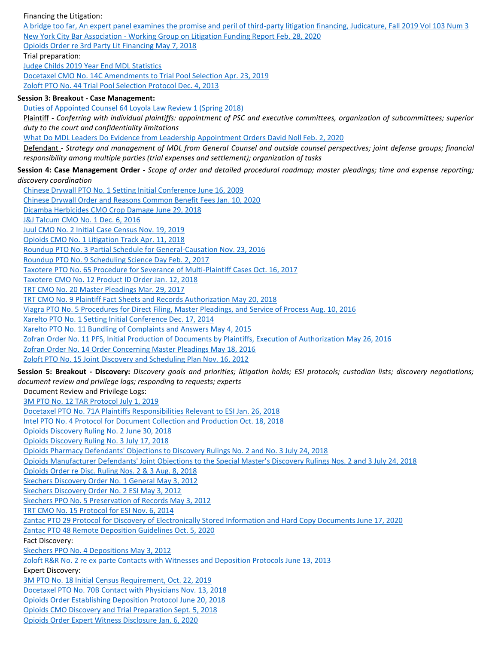### Financing the Litigation:

[A bridge too far, An expert panel examines the promise and peril of third-party litigation financing, Judicature, Fall 2019 Vol 103 Num 3](https://duke.box.com/s/qt6n21snoz1p0hkpgoi5e3qdgbr9syhd) New York City Bar Association - [Working Group on Litigation Funding Report Feb. 28, 2020](https://duke.box.com/s/32r69efm73xhe5mo387jc6hkqedew0tl) [Opioids Order re 3rd Party Lit Financing May 7, 2018](https://duke.box.com/s/8o2yayb8mgp8mq6lmi4fus48rpwpcmke) Trial preparation: [Judge Childs 2019 Year End MDL Statistics](https://duke.box.com/s/yng5pyqjya0ff9mhmk3870cb8b9npwt4)

[Docetaxel CMO No. 14C Amendments to Trial Pool Selection Apr. 23, 2019](https://duke.box.com/s/qtoidxsvazo61d0l4ncahbzbbki5swb4) [Zoloft PTO No. 44 Trial Pool Selection Protocol Dec. 4, 2013](https://duke.box.com/s/cievt6ppojh4lbg0qolxzf0ivmggso1j)

#### **Session 3: Breakout - Case Management:**

[Duties of Appointed Counsel 64 Loyola Law Review 1 \(Spring 2018\)](https://duke.box.com/s/b6vcewf3mviul63o7f01fc23tndabff7)

[Chinese Drywall PTO No. 1 Setting Initial Conference June 16, 2009](https://duke.box.com/s/ck7r1saqi0i5n2z53dytcw2y7xsmbj4p)

Plaintiff - *Conferring with individual plaintiffs: appointment of PSC and executive committees, organization of subcommittees; superior duty to the court and confidentiality limitations*

[What Do MDL Leaders Do Evidence from Leadership Appointment Orders David Noll Feb. 2, 2020](https://duke.box.com/s/b9v2pm0ij4p2h7fwtm44e84not3f8aw8)

Defendant - *Strategy and management of MDL from General Counsel and outside counsel perspectives; joint defense groups; financial responsibility among multiple parties (trial expenses and settlement); organization of tasks*

**Session 4: Case Management Order** - *Scope of order and detailed procedural roadmap; master pleadings; time and expense reporting; discovery coordination*

[Chinese Drywall Order and Reasons Common Benefit Fees Jan. 10, 2020](https://duke.box.com/s/3rqrffzz9tzncpqkm0g7fjj02m8aaffg) [Dicamba Herbicides CMO Crop Damage June 29, 2018](https://duke.box.com/s/66ueo2wceninu6fbzu7aipvhj3vy34f5) [J&J Talcum CMO No. 1 Dec. 6, 2016](https://duke.box.com/s/waq37kilin1ehaiiaudeajwofpiw3thp) [Juul CMO No. 2 Initial Case Census Nov. 19, 2019](https://duke.box.com/s/lknmbzs4mmlwkveo47elxxuh3g4ijnrz) [Opioids CMO No. 1 Litigation Track Apr. 11, 2018](https://duke.box.com/s/tx0dn4786oql1s8m9ryysf7dbc7g31xb) [Roundup PTO No. 3 Partial Schedule for General-Causation Nov. 23, 2016](https://duke.box.com/s/qxvhz6ssbd1xbdcaia3cxevbt67xxgsh) [Roundup PTO No. 9 Scheduling Science Day Feb. 2, 2017](https://duke.box.com/s/iryxrqz0vkxa7dd1kq2488jpumgim2km) [Taxotere PTO No. 65 Procedure for Severance of Multi-Plaintiff Cases Oct. 16, 2017](https://duke.box.com/s/e91b8b0zdc2q7xg5bh4ztsmalyjfaj71) [Taxotere CMO No. 12 Product ID Order Jan. 12, 2018](https://duke.box.com/s/1i28s8dhnrypooq57mf2l4zc6a4ftdn1) [TRT CMO No. 20 Master Pleadings Mar. 29, 2017](https://duke.box.com/s/eqgvamicmv5bg7ky4yde9locwu8g1xvu) [TRT CMO No. 9 Plaintiff Fact Sheets and Records Authorization May 20, 2018](https://duke.box.com/s/z5wxq12wt2iyucrthc25jbfmd9ptggqd) [Viagra PTO No. 5 Procedures for Direct Filing, Master Pleadings, and Service of Process Aug. 10, 2016](https://duke.box.com/s/4pc2fkv7qccr65xbrfkvlg9uz4wmi0g1) [Xarelto PTO No. 1 Setting Initial Conference Dec. 17, 2014](https://duke.box.com/s/xz7czs9d1vg3imo1tedda7br8v345nyq) [Xarelto PTO No. 11 Bundling of Complaints and Answers May 4, 2015](https://duke.box.com/s/n6aeqomdsoshsbzi03hq52wx1jlo1zkh) [Zofran Order No. 11 PFS, Initial Production of Documents by Plaintiffs, Execution of Authorization](https://duke.box.com/s/usce2sqv6fsnx1zrvspo7xv4zhjqppl7) May 26, 2016 [Zofran Order No. 14 Order Concerning Master Pleadings May 18, 2016](https://duke.box.com/s/1m1p8psvlbct46vk8m8kxh8xzkdydbic) [Zoloft PTO No. 15 Joint Discovery and Scheduling Plan Nov. 16, 2012](https://duke.box.com/s/mivvlz6rg32oajdi7ao689v8g2tvq5x1) **Session 5: Breakout - Discovery:** *Discovery goals and priorities; litigation holds; ESI protocols; custodian lists; discovery negotiations; document review and privilege logs; responding to requests; experts*  Document Review and Privilege Logs: [3M PTO No. 12 TAR Protocol July 1, 2019](https://duke.box.com/s/xsz25t0iu8813k5g8bmbg0t3q55m2ak7) [Docetaxel PTO No. 71A Plaintiffs Responsibilities Relevant to ESI Jan. 26, 2018](https://duke.box.com/s/jratzk5x043ceatggvsq8x48c6ixj4le) [Intel PTO No. 4 Protocol for Document Collection and Production Oct. 18, 2018](https://duke.box.com/s/71do7kcxmnxr9ambeeb3cf80gwag29cr) [Opioids Discovery Ruling No. 2 June 30, 2018](https://duke.box.com/s/ay13diw60tilpvsl0w8b4yu12gr9xf9t) [Opioids Discovery Ruling No. 3 July 17, 2018](https://duke.box.com/s/7zuap65ci4mtp2dd0j45n80oeabtla07) [Opioids Pharmacy Defendants' Objections to Discovery Rulings No. 2 and No. 3 July 24, 2018](file://///oit-nas-fe01.oit.duke.edu/LAW/DEPTS/CENTERS/CJS/Conferences-Meetings-Courses/MDL%20Certificate%202020/Materials/5.20%20ITN%20Federal%20Judge%20Appoints%20Diverse%20Legal%20Team%20to%20Lead%20Zantac%20Lawsuits%20%20National%20Law%20Journal.pdf) [Opioids Manufacturer Defendants' Joint Objections to the Special Master's Discovery Rulings Nos. 2 and 3 July 24, 2018](https://duke.box.com/s/bazvoeh8wxymq9chd104pp0ue90xil0q) [Opioids Order re Disc. Ruling Nos. 2 & 3 Aug. 8, 2018](https://duke.box.com/s/dgkq8orr331cs23ij26mjwh2obxunyru) [Skechers Discovery Order No. 1 General May 3, 2012](https://duke.box.com/s/qwbk26fzrxts2nebf3iafgib3uovslxf) [Skechers Discovery Order No. 2 ESI May 3, 2012](https://duke.box.com/s/gfyq1vl8evuc7rt3ff97ayb0aa9iy8gn) [Skechers PPO No. 5 Preservation of Records May 3, 2012](file://///oit-nas-fe01.oit.duke.edu/LAW/DEPTS/CENTERS/CJS/Conferences-Meetings-Courses/MDL%20Certificate%202020/Materials/Nov.%202020%20Materials.docx) [TRT CMO No. 15 Protocol for ESI Nov. 6, 2014](https://duke.box.com/s/7s5b6p72li8ba3xq0shq9hu3s1tjiw9t) [Zantac PTO 29 Protocol for Discovery of Electronically Stored Information and Hard Copy Documents June 17, 2020](https://duke.box.com/s/5ae27xmxr745kejem9nhysdhttlooga7) [Zantac PTO 48 Remote Deposition Guidelines Oct. 5, 2020](https://duke.box.com/s/4gwk4743navk5b4v17s2kuo0qjnr5nab) Fact Discovery: [Skechers PPO No. 4 Depositions May 3, 2012](https://duke.box.com/s/omlqkkfmpdc4shqna906bng2z4dgdpr3) [Zoloft R&R No. 2 re ex parte Contacts with Witnesses and Deposition Protocols June 13, 2013](https://duke.box.com/s/vxw9alzk32q915s1k6k5k2cmt0iktet0) Expert Discovery: [3M PTO No. 18 Initial Census Requirement, Oct. 22, 2019](https://duke.box.com/s/zmvk154frux7lg98mecxpy4d5i7ag56n) [Docetaxel PTO No. 70B Contact with Physicians Nov. 13, 2018](https://duke.box.com/s/0bq06jt5iuxxb33j1td84oudwoebx61e) [Opioids Order Establishing Deposition Protocol June 20, 2018](https://duke.box.com/s/pay5p41dbhn7cs6kvcscx4kuljmdtiun) [Opioids CMO Discovery and Trial Preparation Sept. 5, 2018](https://duke.box.com/s/j6y6tiotgu7haf0kias3sokvi06bttv6) [Opioids Order Expert Witness Disclosure Jan. 6, 2020](https://duke.box.com/s/v5d6nui1a144jfjkgb2dv1bpeg3ngnz6)